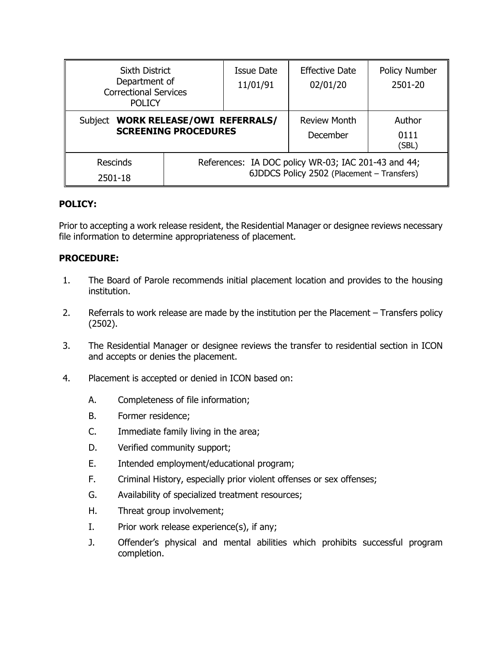| <b>Sixth District</b><br>Department of<br><b>Correctional Services</b><br><b>POLICY</b> |                                                                                                   | Issue Date<br>11/01/91 | <b>Effective Date</b><br>02/01/20 | <b>Policy Number</b><br>2501-20 |
|-----------------------------------------------------------------------------------------|---------------------------------------------------------------------------------------------------|------------------------|-----------------------------------|---------------------------------|
| <b>WORK RELEASE/OWI REFERRALS/</b><br>Subject<br><b>SCREENING PROCEDURES</b>            |                                                                                                   |                        | <b>Review Month</b><br>December   | Author<br>0111<br>(SBL)         |
| <b>Rescinds</b><br>2501-18                                                              | References: IA DOC policy WR-03; IAC 201-43 and 44;<br>6JDDCS Policy 2502 (Placement - Transfers) |                        |                                   |                                 |

## **POLICY:**

Prior to accepting a work release resident, the Residential Manager or designee reviews necessary file information to determine appropriateness of placement.

## **PROCEDURE:**

- 1. The Board of Parole recommends initial placement location and provides to the housing institution.
- 2. Referrals to work release are made by the institution per the Placement Transfers policy (2502).
- 3. The Residential Manager or designee reviews the transfer to residential section in ICON and accepts or denies the placement.
- 4. Placement is accepted or denied in ICON based on:
	- A. Completeness of file information;
	- B. Former residence;
	- C. Immediate family living in the area;
	- D. Verified community support;
	- E. Intended employment/educational program;
	- F. Criminal History, especially prior violent offenses or sex offenses;
	- G. Availability of specialized treatment resources;
	- H. Threat group involvement;
	- I. Prior work release experience(s), if any;
	- J. Offender's physical and mental abilities which prohibits successful program completion.